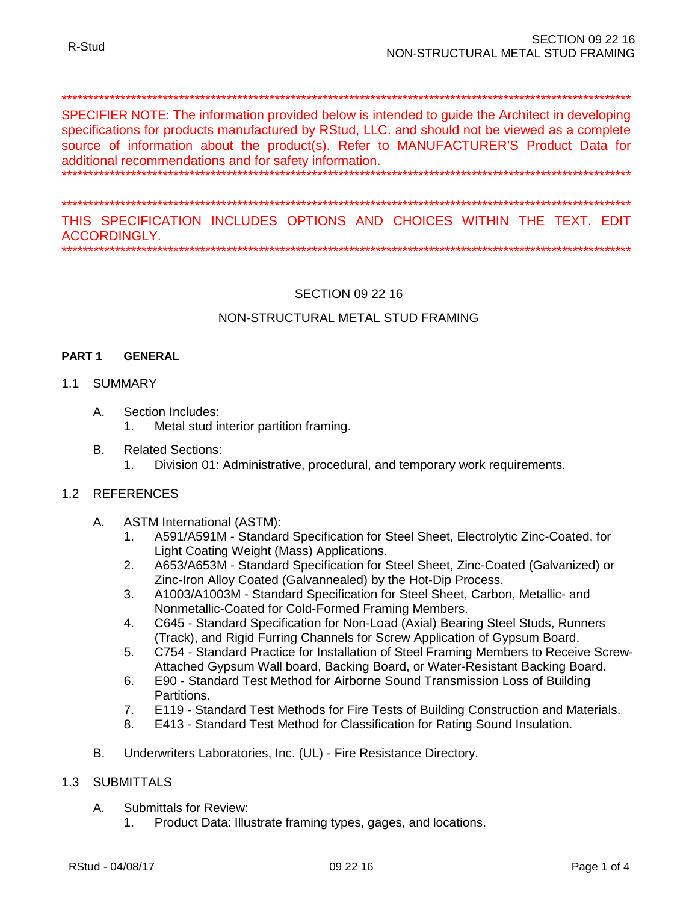#### 

SPECIFIER NOTE: The information provided below is intended to quide the Architect in developing specifications for products manufactured by RStud, LLC. and should not be viewed as a complete source of information about the product(s). Refer to MANUFACTURER'S Product Data for additional recommendations and for safety information.

THIS SPECIFICATION INCLUDES OPTIONS AND CHOICES WITHIN THE TEXT. EDIT

**ACCORDINGLY** 

# **SECTION 09 22 16**

# NON-STRUCTURAL METAL STUD FRAMING

#### PART<sub>1</sub> **GENERAL**

## 1.1 SUMMARY

- Α. Section Includes:
	- Metal stud interior partition framing.  $1<sub>1</sub>$
- Β. **Related Sections:** 
	- Division 01: Administrative, procedural, and temporary work requirements.  $1<sup>1</sup>$

## 1.2 REFERENCES

- **ASTM International (ASTM):** Α.
	- A591/A591M Standard Specification for Steel Sheet, Electrolytic Zinc-Coated, for  $\mathbf{1}$ Light Coating Weight (Mass) Applications.
	- A653/A653M Standard Specification for Steel Sheet, Zinc-Coated (Galvanized) or  $2.$ Zinc-Iron Alloy Coated (Galvannealed) by the Hot-Dip Process.
	- 3. A1003/A1003M - Standard Specification for Steel Sheet, Carbon, Metallic- and Nonmetallic-Coated for Cold-Formed Framing Members.
	- C645 Standard Specification for Non-Load (Axial) Bearing Steel Studs, Runners  $\mathbf{4}$ . (Track), and Rigid Furring Channels for Screw Application of Gypsum Board.
	- C754 Standard Practice for Installation of Steel Framing Members to Receive Screw-5. Attached Gypsum Wall board, Backing Board, or Water-Resistant Backing Board.
	- E90 Standard Test Method for Airborne Sound Transmission Loss of Building 6. Partitions.
	- $7.$ E119 - Standard Test Methods for Fire Tests of Building Construction and Materials.
	- E413 Standard Test Method for Classification for Rating Sound Insulation. 8.
- Underwriters Laboratories, Inc. (UL) Fire Resistance Directory. B.

#### 1.3 SUBMITTALS

- A. **Submittals for Review:** 
	- Product Data: Illustrate framing types, gages, and locations.  $1<sub>1</sub>$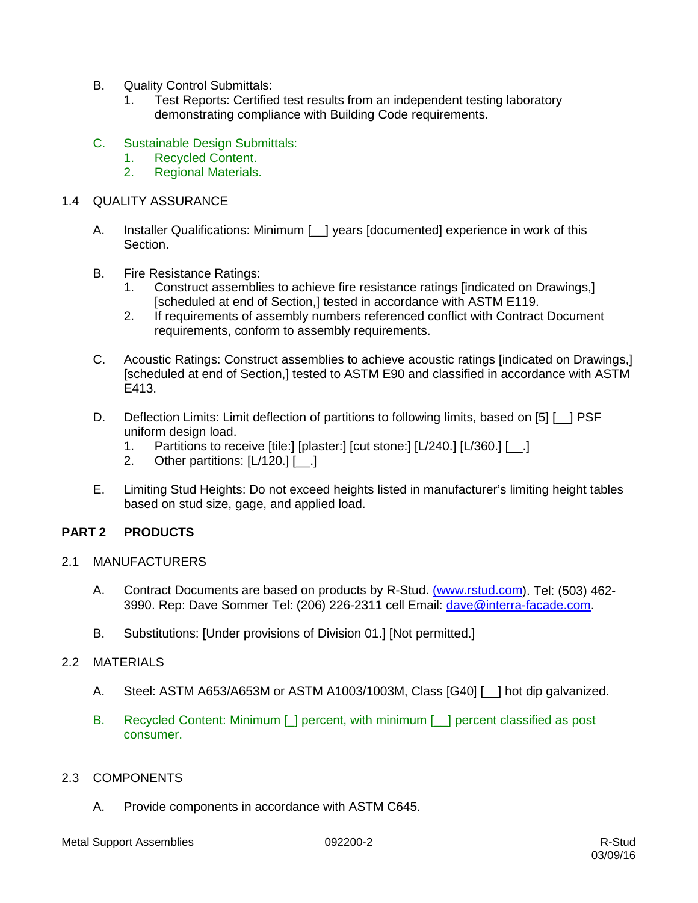- B. Quality Control Submittals:
	- 1. Test Reports: Certified test results from an independent testing laboratory demonstrating compliance with Building Code requirements.
- C. Sustainable Design Submittals:
	- 1. Recycled Content.
	- 2. Regional Materials.

## 1.4 QUALITY ASSURANCE

- A. Installer Qualifications: Minimum [\_\_] years [documented] experience in work of this Section.
- B. Fire Resistance Ratings:
	- 1. Construct assemblies to achieve fire resistance ratings [indicated on Drawings,] [scheduled at end of Section,] tested in accordance with ASTM E119.
	- 2. If requirements of assembly numbers referenced conflict with Contract Document requirements, conform to assembly requirements.
- C. Acoustic Ratings: Construct assemblies to achieve acoustic ratings [indicated on Drawings,] [scheduled at end of Section,] tested to ASTM E90 and classified in accordance with ASTM E413.
- D. Deflection Limits: Limit deflection of partitions to following limits, based on [5] [ \_ ] PSF uniform design load.
	- 1. Partitions to receive [tile:] [plaster:] [cut stone:] [L/240.] [L/360.] [\_\_.]
	- 2. Other partitions: [L/120.] [\_\_.]
- E. Limiting Stud Heights: Do not exceed heights listed in manufacturer's limiting height tables based on stud size, gage, and applied load.

## **PART 2 PRODUCTS**

- 2.1 MANUFACTURERS
	- A. Contract Documents are based on products by R-Stud. [\(www.rstud.com\)](http://www.rstud.com/). Tel: (503) 462- 3990. Rep: Dave Sommer Tel: (206) 226-2311 cell Email: [dave@interra-facade.com.](mailto:dave@interra-facade.com)
	- B. Substitutions: [Under provisions of Division 01.] [Not permitted.]

## 2.2 MATERIALS

- A. Steel: ASTM A653/A653M or ASTM A1003/1003M, Class [G40] [\_\_] hot dip galvanized.
- B. Recycled Content: Minimum [ ] percent, with minimum [ ] percent classified as post consumer.

## 2.3 COMPONENTS

A. Provide components in accordance with ASTM C645.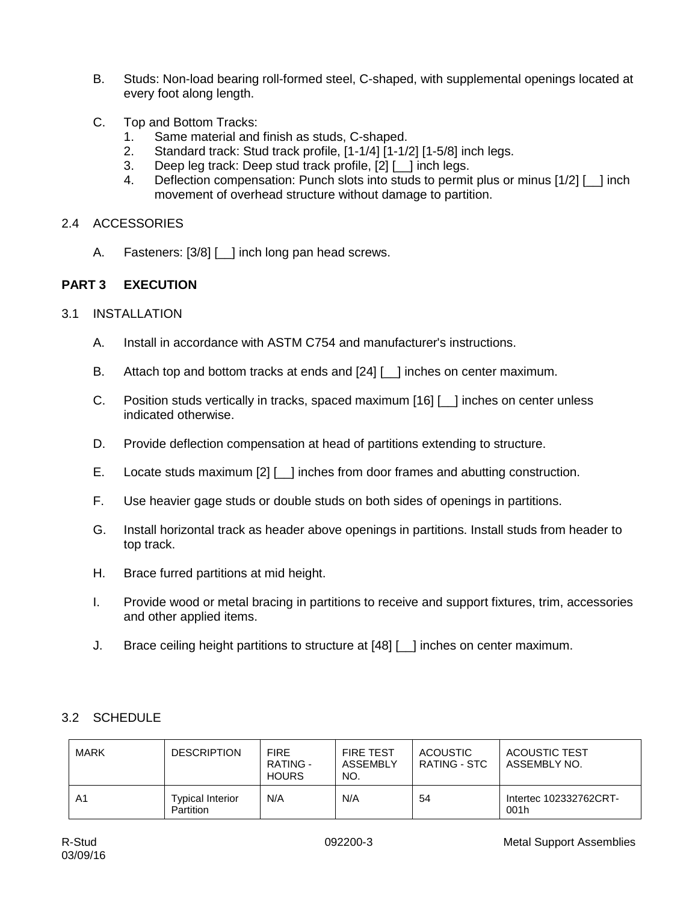- B. Studs: Non-load bearing roll-formed steel, C-shaped, with supplemental openings located at every foot along length.
- C. Top and Bottom Tracks:
	- 1. Same material and finish as studs, C-shaped.
	- 2. Standard track: Stud track profile, [1-1/4] [1-1/2] [1-5/8] inch legs.
	- 3. Deep leg track: Deep stud track profile, [2] [\_\_] inch legs.
	- 4. Deflection compensation: Punch slots into studs to permit plus or minus [1/2] [\_\_] inch movement of overhead structure without damage to partition.

# 2.4 ACCESSORIES

A. Fasteners: [3/8] [ ] inch long pan head screws.

# **PART 3 EXECUTION**

## 3.1 INSTALLATION

- A. Install in accordance with ASTM C754 and manufacturer's instructions.
- B. Attach top and bottom tracks at ends and [24] [ ] inches on center maximum.
- C. Position studs vertically in tracks, spaced maximum [16] [\_\_] inches on center unless indicated otherwise.
- D. Provide deflection compensation at head of partitions extending to structure.
- E. Locate studs maximum [2] [10] inches from door frames and abutting construction.
- F. Use heavier gage studs or double studs on both sides of openings in partitions.
- G. Install horizontal track as header above openings in partitions. Install studs from header to top track.
- H. Brace furred partitions at mid height.
- I. Provide wood or metal bracing in partitions to receive and support fixtures, trim, accessories and other applied items.
- J. Brace ceiling height partitions to structure at [48] [\_\_] inches on center maximum.

# 3.2 SCHEDULE

|  | MARK | <b>DESCRIPTION</b>                          | <b>FIRE</b><br>RATING -<br><b>HOURS</b> | <b>FIRE TEST</b><br>ASSEMBLY<br>NO. | <b>ACOUSTIC</b><br>RATING - STC | ACOUSTIC TEST<br>ASSEMBLY NO.  |
|--|------|---------------------------------------------|-----------------------------------------|-------------------------------------|---------------------------------|--------------------------------|
|  | A1   | <b>Typical Interior</b><br><b>Partition</b> | N/A                                     | N/A                                 | 54                              | Intertec 102332762CRT-<br>001h |